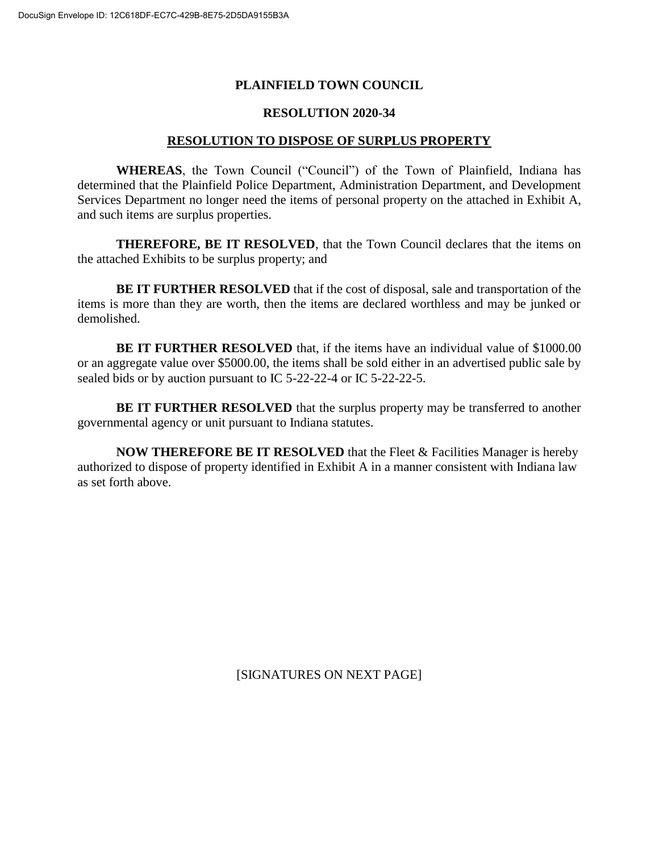## **PLAINFIELD TOWN COUNCIL**

## **RESOLUTION 2020-34**

## **RESOLUTION TO DISPOSE OF SURPLUS PROPERTY**

**WHEREAS**, the Town Council ("Council") of the Town of Plainfield, Indiana has determined that the Plainfield Police Department, Administration Department, and Development Services Department no longer need the items of personal property on the attached in Exhibit A, and such items are surplus properties.

**THEREFORE, BE IT RESOLVED**, that the Town Council declares that the items on the attached Exhibits to be surplus property; and

**BE IT FURTHER RESOLVED** that if the cost of disposal, sale and transportation of the items is more than they are worth, then the items are declared worthless and may be junked or demolished.

**BE IT FURTHER RESOLVED** that, if the items have an individual value of \$1000.00 or an aggregate value over \$5000.00, the items shall be sold either in an advertised public sale by sealed bids or by auction pursuant to IC 5-22-22-4 or IC 5-22-22-5.

**BE IT FURTHER RESOLVED** that the surplus property may be transferred to another governmental agency or unit pursuant to Indiana statutes.

**NOW THEREFORE BE IT RESOLVED** that the Fleet & Facilities Manager is hereby authorized to dispose of property identified in Exhibit A in a manner consistent with Indiana law as set forth above.

[SIGNATURES ON NEXT PAGE]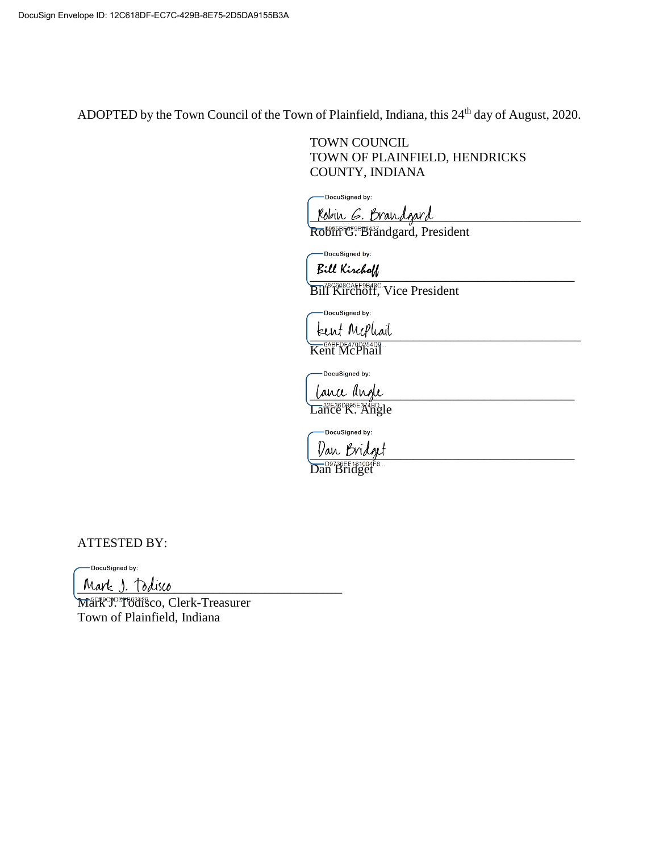ADOPTED by the Town Council of the Town of Plainfield, Indiana, this 24<sup>th</sup> day of August, 2020.

TOWN COUNCIL TOWN OF PLAINFIELD, HENDRICKS COUNTY, INDIANA

-DocuSigned by:

Kobin G. Brandgard

Robin<sup>eres</sup> Brandgard, President

DocuSigned by:

Bill Kirchoff

Bill Kirchoff, Vice President

-DocuSigned by: teent Mcphail

Kent McPhail

DocuSigned by:

Lance angle Lance K. Angle

-DocuSigned by:

Dan Bridget

Dan Bridget

ATTESTED BY:

-DocuSigned by:

Mark 1. Todisco

Mark<sup>opor</sup><sup>834</sup>i Sco, Clerk-Treasurer Town of Plainfield, Indiana